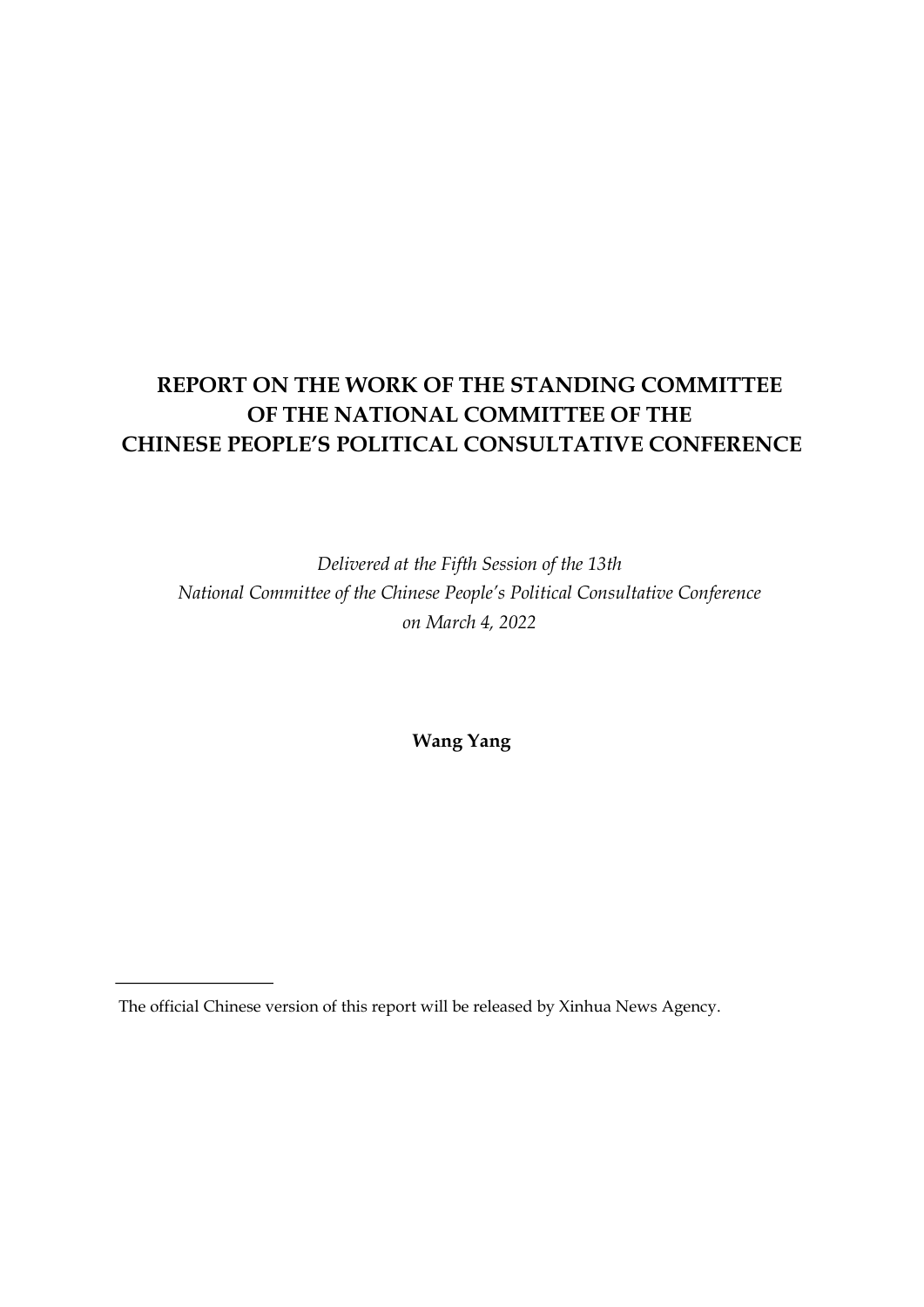# **REPORT ON THE WORK OF THE STANDING COMMITTEE OF THE NATIONAL COMMITTEE OF THE CHINESE PEOPLE'S POLITICAL CONSULTATIVE CONFERENCE**

*Delivered at the Fifth Session of the 13th National Committee of the Chinese People's Political Consultative Conference on March 4, 2022*

**Wang Yang**

The official Chinese version of this report will be released by Xinhua News Agency.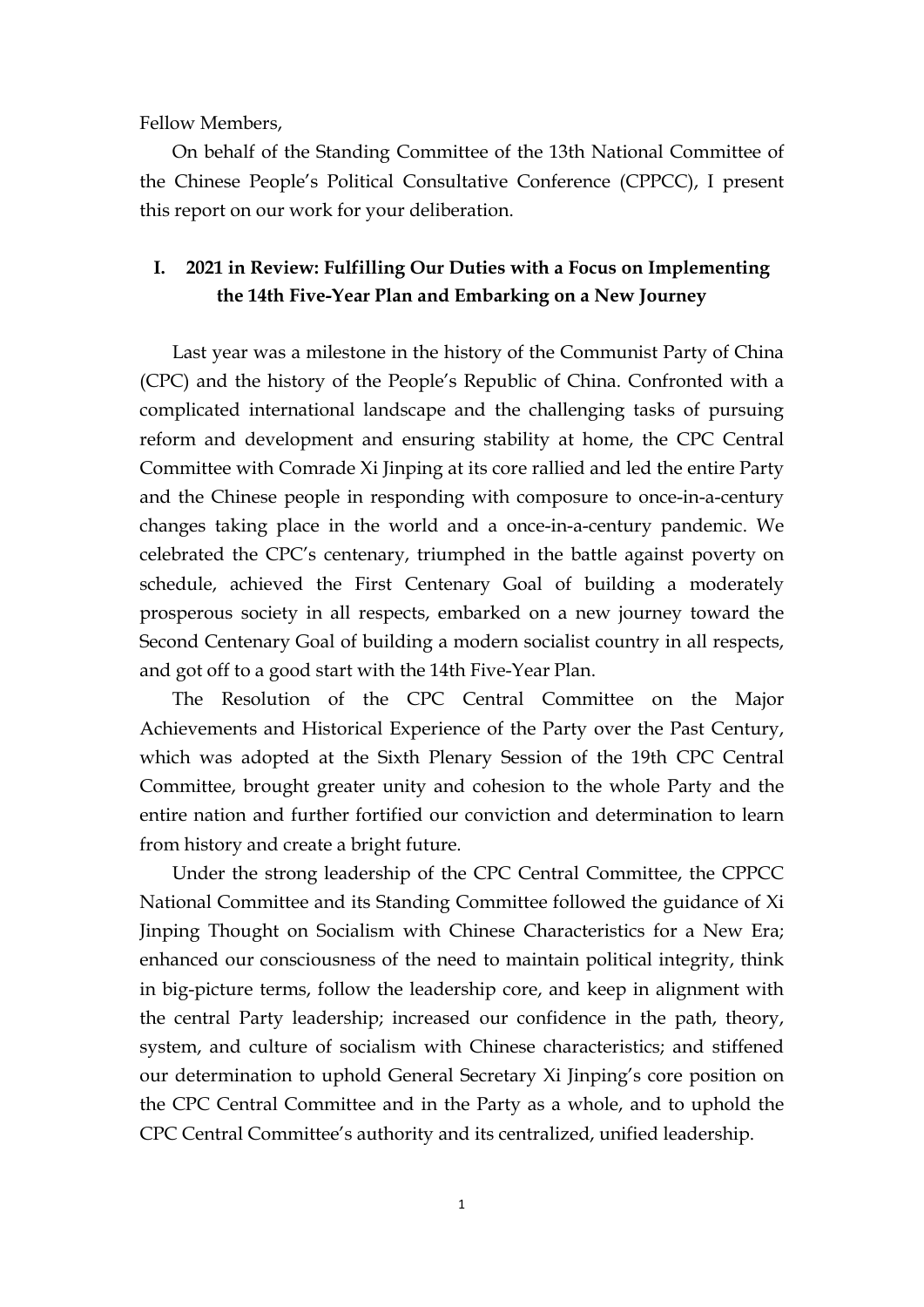Fellow Members,

On behalf of the Standing Committee of the 13th National Committee of the Chinese People's Political Consultative Conference (CPPCC), I present this report on our work for your deliberation.

### **I. 2021 in Review: Fulfilling Our Duties with a Focus on Implementing the 14th Five-Year Plan and Embarking on a New Journey**

Last year was a milestone in the history of the Communist Party of China (CPC) and the history of the People's Republic of China. Confronted with a complicated international landscape and the challenging tasks of pursuing reform and development and ensuring stability at home, the CPC Central Committee with Comrade Xi Jinping at its core rallied and led the entire Party and the Chinese people in responding with composure to once-in-a-century changes taking place in the world and a once-in-a-century pandemic. We celebrated the CPC's centenary, triumphed in the battle against poverty on schedule, achieved the First Centenary Goal of building a moderately prosperous society in all respects, embarked on a new journey toward the Second Centenary Goal of building a modern socialist country in all respects, and got off to a good start with the 14th Five-Year Plan.

The Resolution of the CPC Central Committee on the Major Achievements and Historical Experience of the Party over the Past Century, which was adopted at the Sixth Plenary Session of the 19th CPC Central Committee, brought greater unity and cohesion to the whole Party and the entire nation and further fortified our conviction and determination to learn from history and create a bright future.

Under the strong leadership of the CPC Central Committee, the CPPCC National Committee and its Standing Committee followed the guidance of Xi Jinping Thought on Socialism with Chinese Characteristics for a New Era; enhanced our consciousness of the need to maintain political integrity, think in big-picture terms, follow the leadership core, and keep in alignment with the central Party leadership; increased our confidence in the path, theory, system, and culture of socialism with Chinese characteristics; and stiffened our determination to uphold General Secretary Xi Jinping's core position on the CPC Central Committee and in the Party as a whole, and to uphold the CPC Central Committee's authority and its centralized, unified leadership.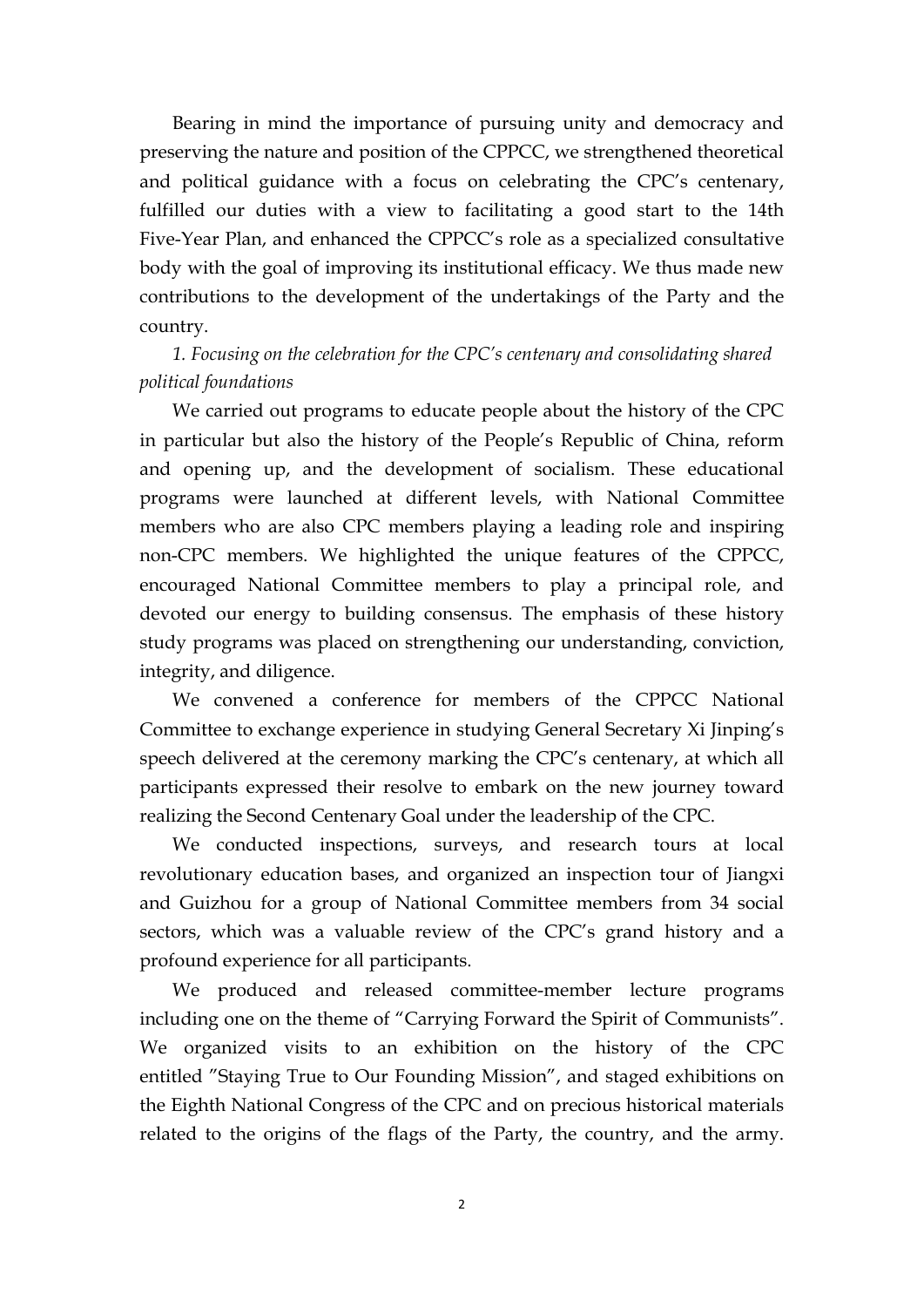Bearing in mind the importance of pursuing unity and democracy and preserving the nature and position of the CPPCC, we strengthened theoretical and political guidance with a focus on celebrating the CPC's centenary, fulfilled our duties with a view to facilitating a good start to the 14th Five-Year Plan, and enhanced the CPPCC's role as a specialized consultative body with the goal of improving its institutional efficacy. We thus made new contributions to the development of the undertakings of the Party and the country.

# *1. Focusing on the celebration for the CPC's centenary and consolidating shared political foundations*

We carried out programs to educate people about the history of the CPC in particular but also the history of the People's Republic of China, reform and opening up, and the development of socialism. These educational programs were launched at different levels, with National Committee members who are also CPC members playing a leading role and inspiring non-CPC members. We highlighted the unique features of the CPPCC, encouraged National Committee members to play a principal role, and devoted our energy to building consensus. The emphasis of these history study programs was placed on strengthening our understanding, conviction, integrity, and diligence.

We convened a conference for members of the CPPCC National Committee to exchange experience in studying General Secretary Xi Jinping's speech delivered at the ceremony marking the CPC's centenary, at which all participants expressed their resolve to embark on the new journey toward realizing the Second Centenary Goal under the leadership of the CPC.

We conducted inspections, surveys, and research tours at local revolutionary education bases, and organized an inspection tour of Jiangxi and Guizhou for a group of National Committee members from 34 social sectors, which was a valuable review of the CPC's grand history and a profound experience for all participants.

We produced and released committee-member lecture programs including one on the theme of "Carrying Forward the Spirit of Communists". We organized visits to an exhibition on the history of the CPC entitled "Staying True to Our Founding Mission", and staged exhibitions on the Eighth National Congress of the CPC and on precious historical materials related to the origins of the flags of the Party, the country, and the army.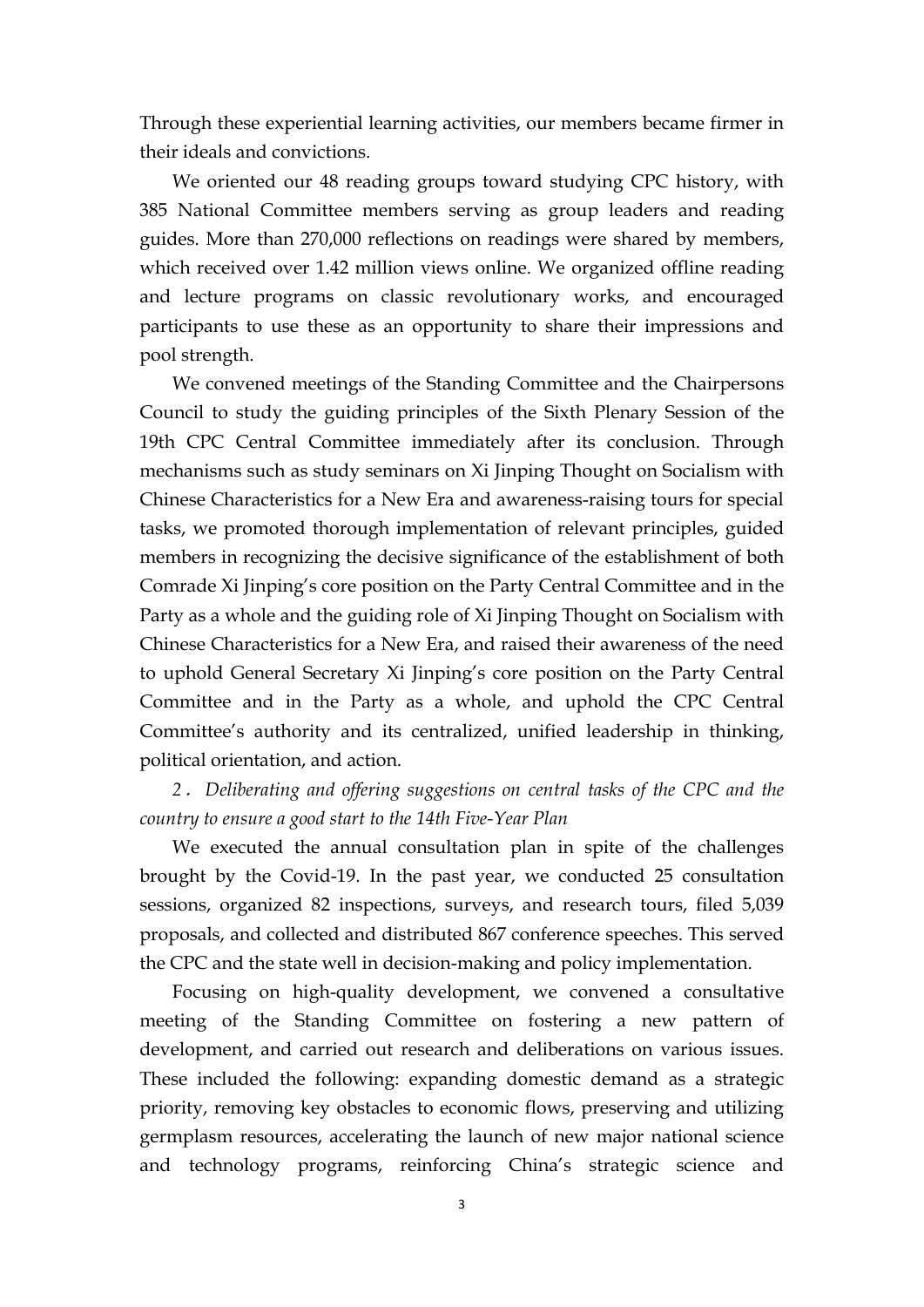Through these experiential learning activities, our members became firmer in their ideals and convictions.

We oriented our 48 reading groups toward studying CPC history, with 385 National Committee members serving as group leaders and reading guides. More than 270,000 reflections on readings were shared by members, which received over 1.42 million views online. We organized offline reading and lecture programs on classic revolutionary works, and encouraged participants to use these as an opportunity to share their impressions and pool strength.

We convened meetings of the Standing Committee and the Chairpersons Council to study the guiding principles of the Sixth Plenary Session of the 19th CPC Central Committee immediately after its conclusion. Through mechanisms such as study seminars on Xi Jinping Thought on Socialism with Chinese Characteristics for a New Era and awareness-raising tours for special tasks, we promoted thorough implementation of relevant principles, guided members in recognizing the decisive significance of the establishment of both Comrade Xi Jinping's core position on the Party Central Committee and in the Party as a whole and the guiding role of Xi Jinping Thought on Socialism with Chinese Characteristics for a New Era, and raised their awareness of the need to uphold General Secretary Xi Jinping's core position on the Party Central Committee and in the Party as a whole, and uphold the CPC Central Committee's authority and its centralized, unified leadership in thinking, political orientation, and action.

*2*.*Deliberating and of ering suggestions on central tasks of the CPC and the country to ensure a good start to the 14th Five-Year Plan*

We executed the annual consultation plan in spite of the challenges brought by the Covid-19. In the past year, we conducted 25 consultation sessions, organized 82 inspections, surveys, and research tours, filed 5,039 proposals, and collected and distributed 867 conference speeches. This served the CPC and the state well in decision-making and policy implementation.

Focusing on high-quality development, we convened a consultative meeting of the Standing Committee on fostering a new pattern of development, and carried out research and deliberations on various issues.<br>These included the following: expanding domestic demand as a strategic priority, removing key obstacles to economic flows, preserving and utilizing germplasm resources, accelerating the launch of new major national science and technology programs, reinforcing China's strategic science and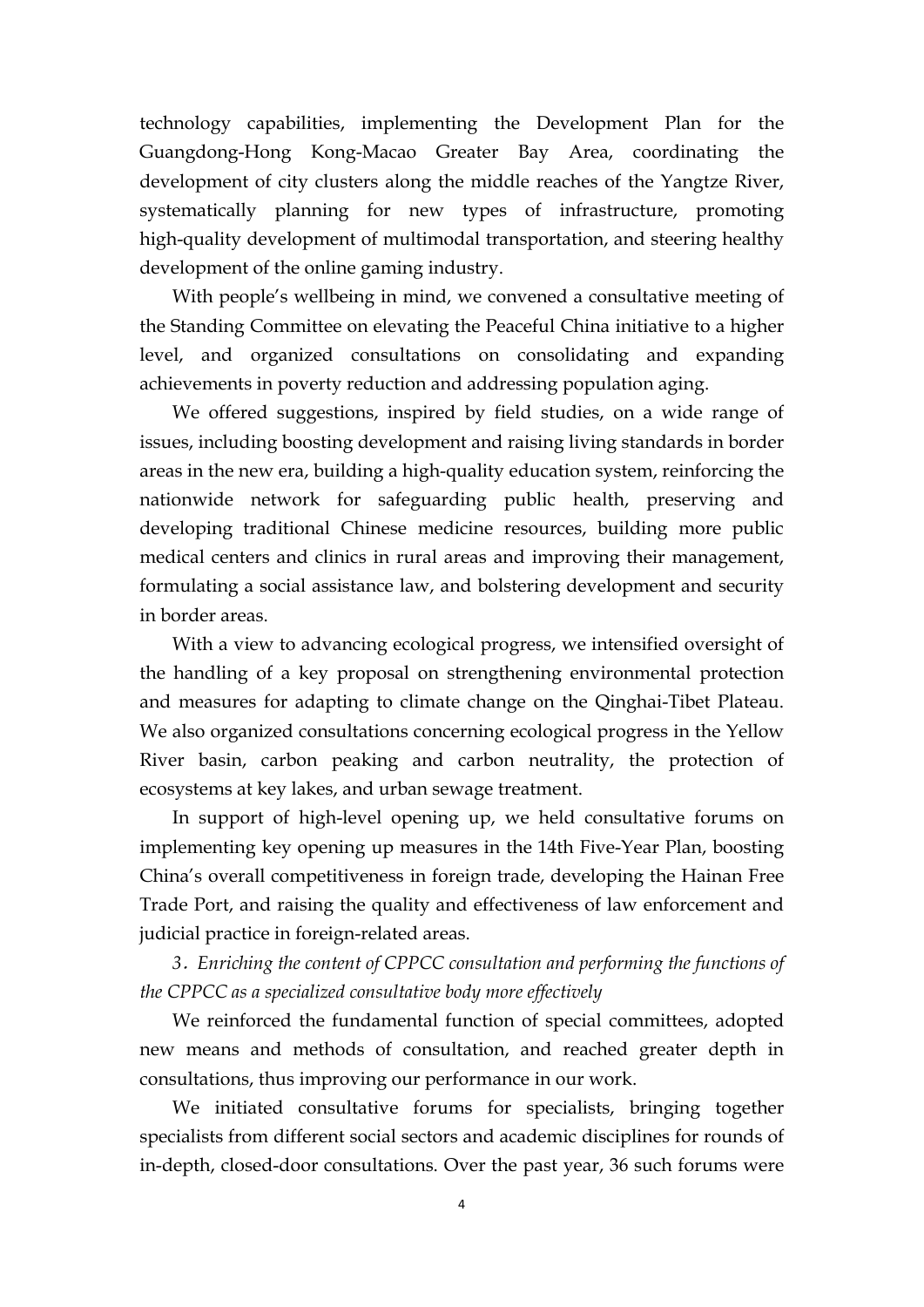technology capabilities, implementing the Development Plan for the Guangdong-Hong Kong-Macao Greater Bay Area, coordinating the development of city clusters along the middle reaches of the Yangtze River, systematically planning for new types of infrastructure, promoting high-quality development of multimodal transportation, and steering healthy development of the online gaming industry.

With people's wellbeing in mind, we convened a consultative meeting of the Standing Committee on elevating the Peaceful China initiative to a higher level, and organized consultations on consolidating and expanding achievements in poverty reduction and addressing population aging.

We offered suggestions, inspired by field studies, on a wide range of issues, including boosting development and raising living standards in border areas in the new era, building a high-quality education system, reinforcing the nationwide network for safeguarding public health, preserving and developing traditional Chinese medicine resources, building more public medical centers and clinics in rural areas and improving their management, formulating a social assistance law, and bolstering development and security in border areas.

With a view to advancing ecological progress, we intensified oversight of the handling of a key proposal on strengthening environmental protection and measures for adapting to climate change on the Qinghai-Tibet Plateau. We also organized consultations concerning ecological progress in the Yellow River basin, carbon peaking and carbon neutrality, the protection of ecosystems at key lakes, and urban sewage treatment.

In support of high-level opening up, we held consultative forums on implementing key opening up measures in the 14th Five-Year Plan, boosting China's overall competitiveness in foreign trade, developing the Hainan Free Trade Port, and raising the quality and effectiveness of law enforcement and judicial practice in foreign-related areas.

*3*.*Enriching the content of CPPCC consultation and performing the functions of the CPPCC as a specialized consultative body more ef ectively*

We reinforced the fundamental function of special committees, adopted new means and methods of consultation, and reached greater depth in consultations, thus improving our performance in our work.

We initiated consultative forums for specialists, bringing together specialists from different social sectors and academic disciplines for rounds of in-depth, closed-door consultations. Over the past year, 36 such forums were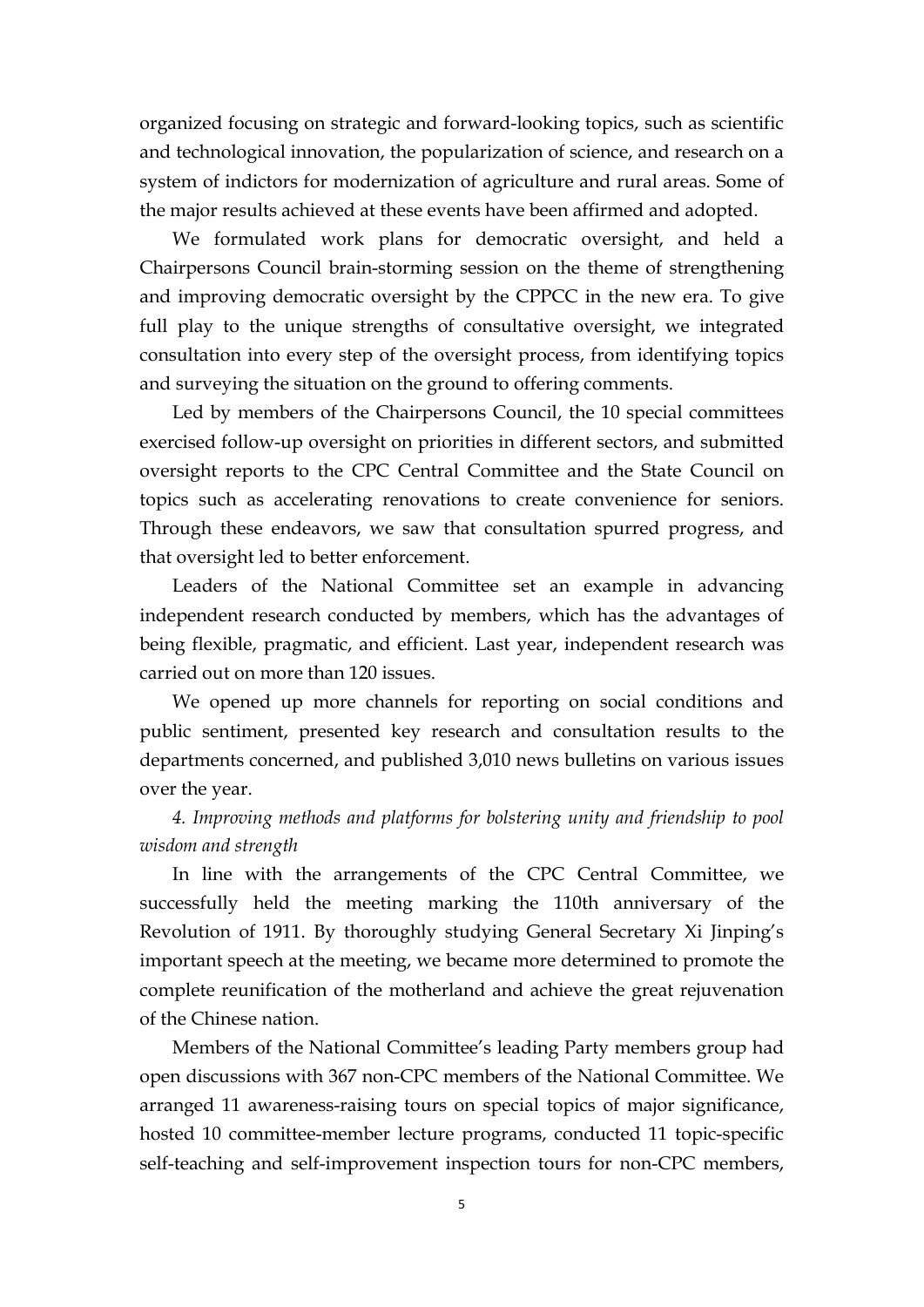organized focusing on strategic and forward-looking topics, such as scientific and technological innovation, the popularization of science, and research on a system of indictors for modernization of agriculture and rural areas. Some of the major results achieved at these events have been affirmed and adopted.

We formulated work plans for democratic oversight, and held a Chairpersons Council brain-storming session on the theme of strengthening and improving democratic oversight by the CPPCC in the new era. To give full play to the unique strengths of consultative oversight, we integrated consultation into every step of the oversight process, from identifying topics and surveying the situation on the ground to offering comments.

Led by members of the Chairpersons Council, the 10 special committees exercised follow-up oversight on priorities in different sectors, and submitted oversight reports to the CPC Central Committee and the State Council on topics such as accelerating renovations to create convenience for seniors. Through these endeavors, we saw that consultation spurred progress, and that oversight led to better enforcement.

Leaders of the National Committee set an example in advancing independent research conducted by members, which has the advantages of being flexible, pragmatic, and efficient. Last year, independent research was carried out on more than 120 issues.

We opened up more channels for reporting on social conditions and public sentiment, presented key research and consultation results to the departments concerned, and published 3,010 news bulletins on various issues over the year.

### *4. Improving methods and platforms for bolstering unity and friendship topool wisdom and strength*

In line with the arrangements of the CPC Central Committee, we successfully held the meeting marking the 110th anniversary of the Revolution of 1911. By thoroughly studying General Secretary Xi Jinping's important speech at the meeting, we became more determined to promote the complete reunification of the motherland and achieve the great rejuvenation of the Chinese nation.

Members of the National Committee's leading Party members group had open discussions with 367 non-CPC members of the National Committee. We arranged 11 awareness-raising tours on special topics of major significance, hosted 10 committee-member lecture programs, conducted 11 topic-specific self-teaching and self-improvement inspection tours for non-CPC members,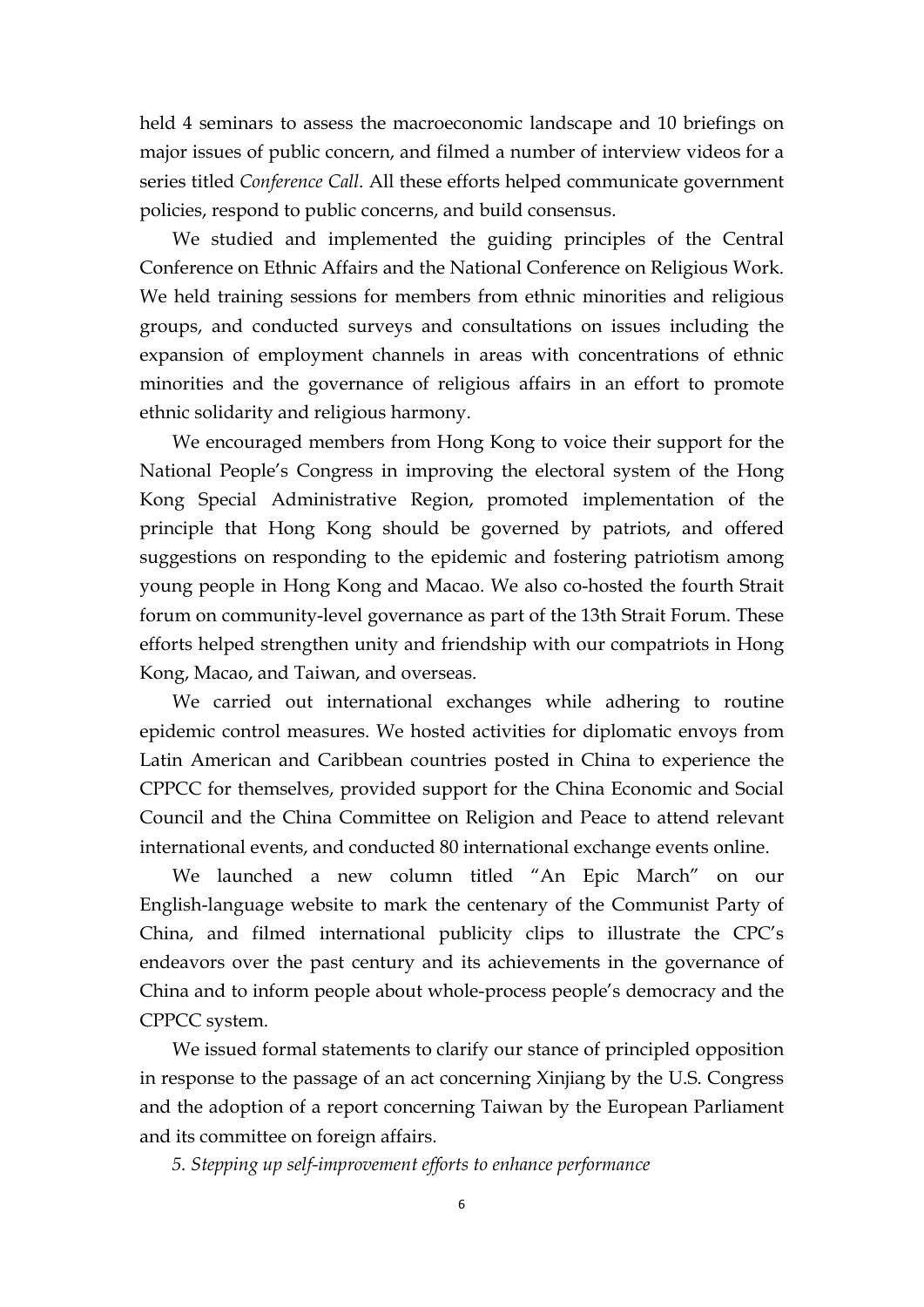held 4 seminars to assess the macroeconomic landscape and 10 briefings on major issues of public concern, and filmed a number of interview videos for a series titled *Conference Call*. All these efforts helped communicate government policies, respond to public concerns, and build consensus.

We studied and implemented the guiding principles of the Central Conference on Ethnic Affairs and the National Conference on Religious Work. We held training sessions for members from ethnic minorities and religious groups, and conducted surveys and consultations on issues including the expansion of employment channels in areas with concentrations of ethnic minorities and the governance of religious affairs in an effort to promote ethnic solidarity and religious harmony.

We encouraged members from Hong Kong to voice their support for the National People's Congress in improving the electoral system of the Hong Kong Special Administrative Region, promoted implementation of the principle that Hong Kong should be governed by patriots, and offered suggestions on responding to the epidemic and fostering patriotism among young people in Hong Kong and Macao. We also co-hosted the fourth Strait forum on community-level governance as part of the 13th Strait Forum. These efforts helped strengthen unity and friendship with our compatriots in Hong Kong, Macao, and Taiwan, and overseas.

We carried out international exchanges while adhering to routine epidemic control measures. We hosted activities for diplomatic envoys from Latin American and Caribbean countries posted in China to experience the CPPCC for themselves, provided support for the China Economic and Social Council and the China Committee on Religion and Peace to attend relevant international events, and conducted <sup>80</sup> international exchange events online.We launched <sup>a</sup> new column titled "An Epic March" on our

English-language website to mark the centenary of the Communist Party of China, and filmed international publicity clips to illustrate the CPC's endeavors over the past century and its achievements in the governance of China and to inform people about whole-process people's democracy and the CPPCC system.

We issued formal statements to clarify our stance of principled opposition in response to the passage of an act concerning Xinjiang by the U.S. Congress and the adoption of a report concerning Taiwan by the European Parliament and its committee on foreign affairs.

*5. Stepping up self-improvement ef orts to enhance performance*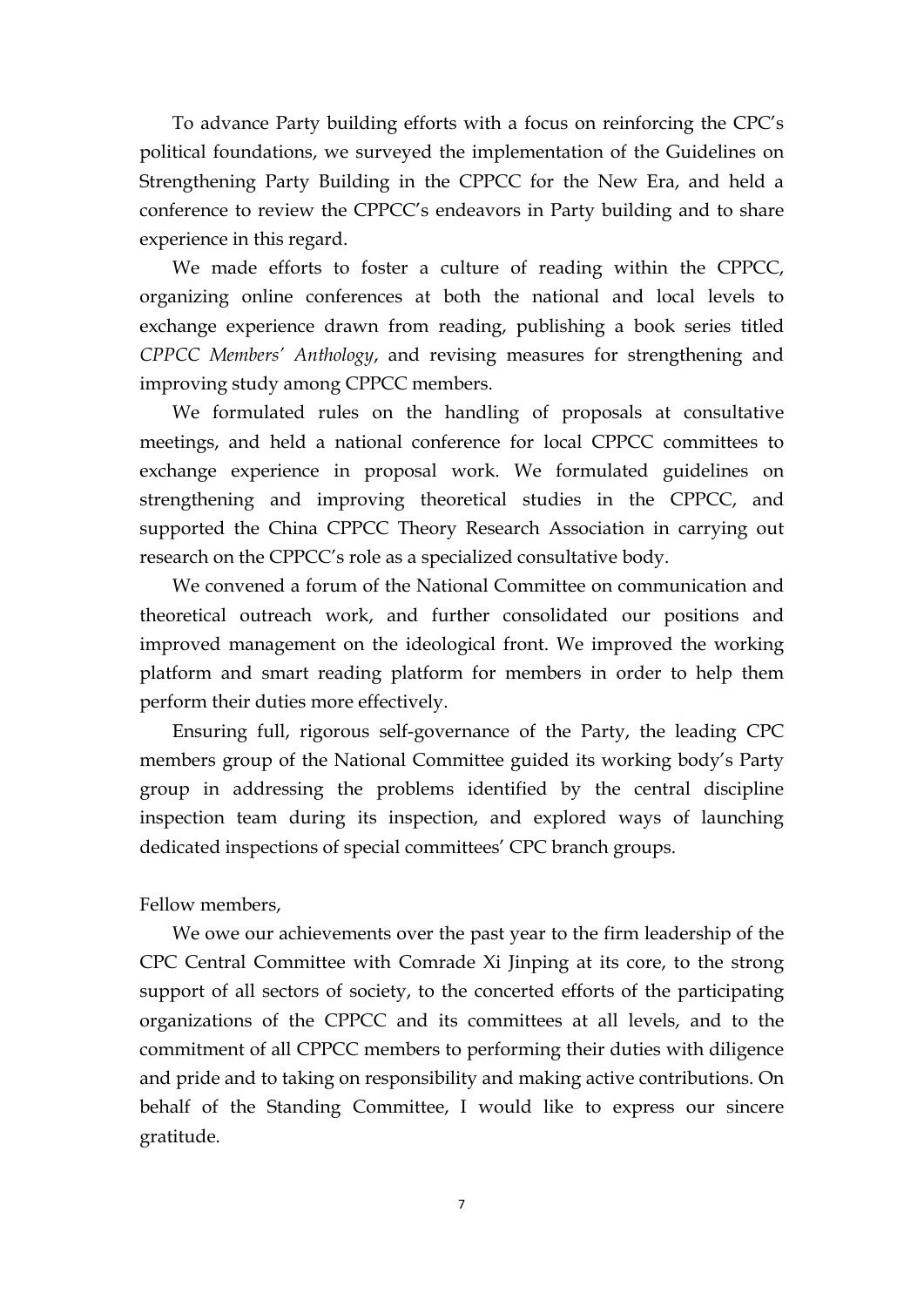To advance Party building efforts with a focus on reinforcing the CPC's political foundations, we surveyed the implementation of the Guidelines on Strengthening Party Building in the CPPCC for the New Era, and held a conference to review the CPPCC's endeavors in Party building and to share experience in this regard.

We made efforts to foster a culture of reading within the CPPCC, organizing online conferences at both the national and local levels to exchange experience drawn from reading, publishing a book series titled *CPPCC Members' Anthology*, and revising measures for strengthening and improving study among CPPCC members.

We formulated rules on the handling of proposals at consultative meetings, and held a national conference for local CPPCC committees to exchange experience in proposal work. We formulated guidelines on strengthening and improving theoretical studies in the CPPCC, and supported the China CPPCC Theory Research Association in carrying out research on the CPPCC's role as a specialized consultative body.

We convened a forum of the National Committee on communication and theoretical outreach work, and further consolidated our positions and improved management on the ideological front. We improved the working platform and smart reading platform for members in order to help them perform their duties more effectively.

Ensuring full, rigorous self-governance of the Party, the leading CPC members group of the National Committee guided its working body's Party group in addressing the problems identified by the central discipline inspection team during its inspection, and explored ways of launching dedicated inspections of special committees' CPC branch groups.

#### Fellow members,

We owe our achievements over the past year to the firm leadership of the CPC Central Committee with Comrade Xi Jinping at its core, to the strong support of all sectors of society, to the concerted efforts of the participating organizations of the CPPCC and its committees at all levels, and to the commitment of all CPPCC members to performing their duties with diligence and pride and to taking on responsibility and making active contributions. On behalf of the Standing Committee, I would like to express our sincere gratitude.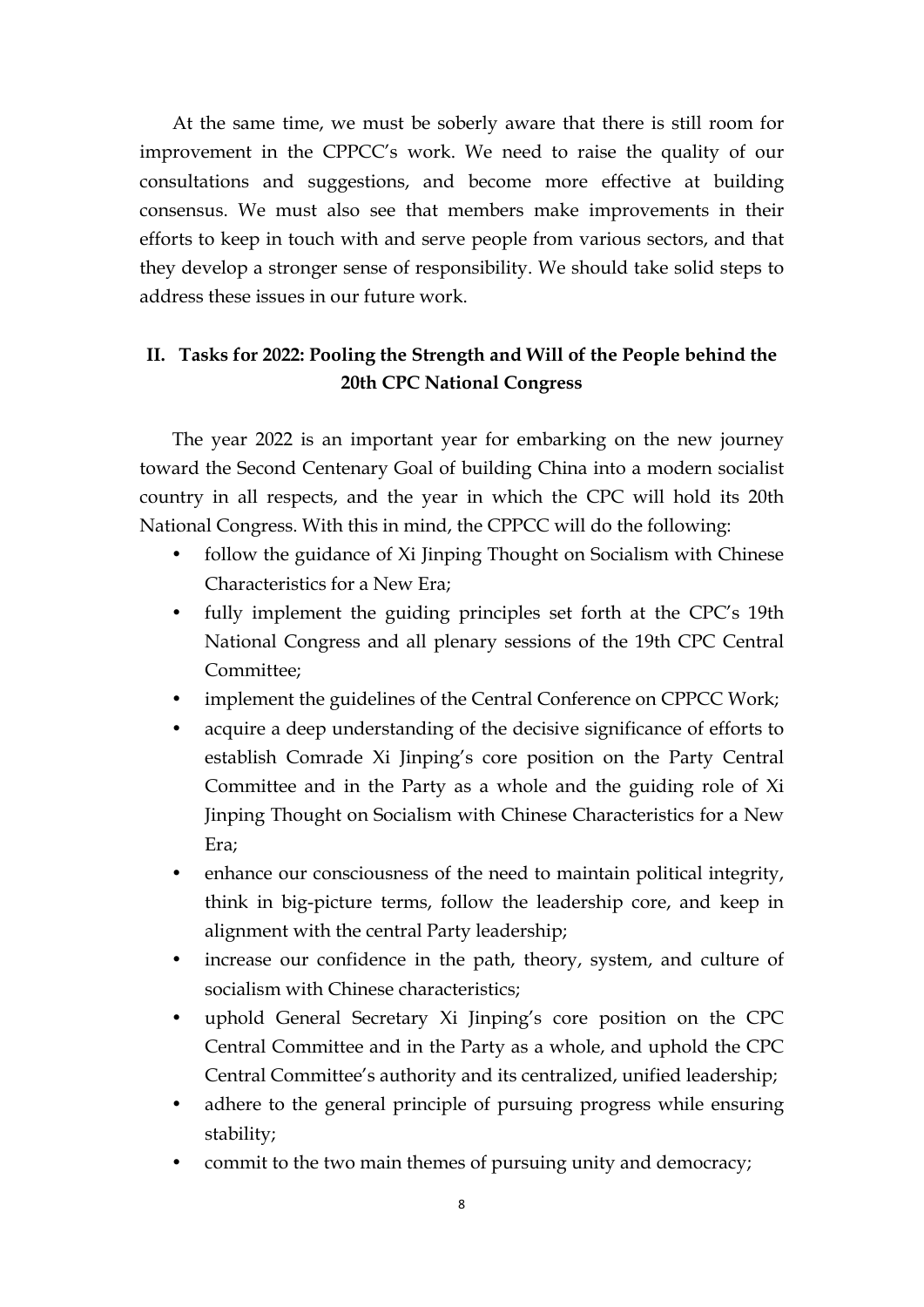At the same time, we must be soberly aware that there is still room for improvement in the CPPCC's work. We need to raise the quality of our consultations and suggestions, and become more effective at building consensus. We must also see that members make improvements in their efforts to keep in touch with and serve people from various sectors, and that they develop a stronger sense of responsibility. We should take solid steps to address these issues in our future work.

### **II. Tasks for 2022: Pooling the Strength and Will of the People behind the 20th CPC National Congress**

The year 2022 is an important year for embarking on the new journey toward the Second Centenary Goal of building China into a modern socialist country in all respects, and the year in which the CPC will hold its 20th National Congress. With this in mind, the CPPCC will do the following:

- follow the guidance of Xi Jinping Thought on Socialism with Chinese Characteristics for a New Era;
- fully implement the guiding principles set forth at the CPC's 19th National Congress and all plenary sessions of the 19th CPC Central Committee;
- implement the guidelines of the Central Conference on CPPCC Work;
- acquire a deep understanding of the decisive significance of efforts to establish Comrade Xi Jinping's core position on the Party Central Committee and in the Party as a whole and the guiding role of Xi Jinping Thought on Socialism with Chinese Characteristics for a New Era;
- enhance our consciousness of the need to maintain political integrity, think in big-picture terms, follow the leadership core, and keep in alignment with the central Party leadership;
- increase our confidence in the path, theory, system, and culture of socialism with Chinese characteristics;
- uphold General Secretary Xi Jinping's core position on theCPC Central Committee and in the Party as a whole, and uphold the CPC Central Committee's authority and its centralized, unified leadership;
- adhere to the general principle of pursuing progress while ensuring stability;
- commit to the two main themes of pursuing unity and democracy;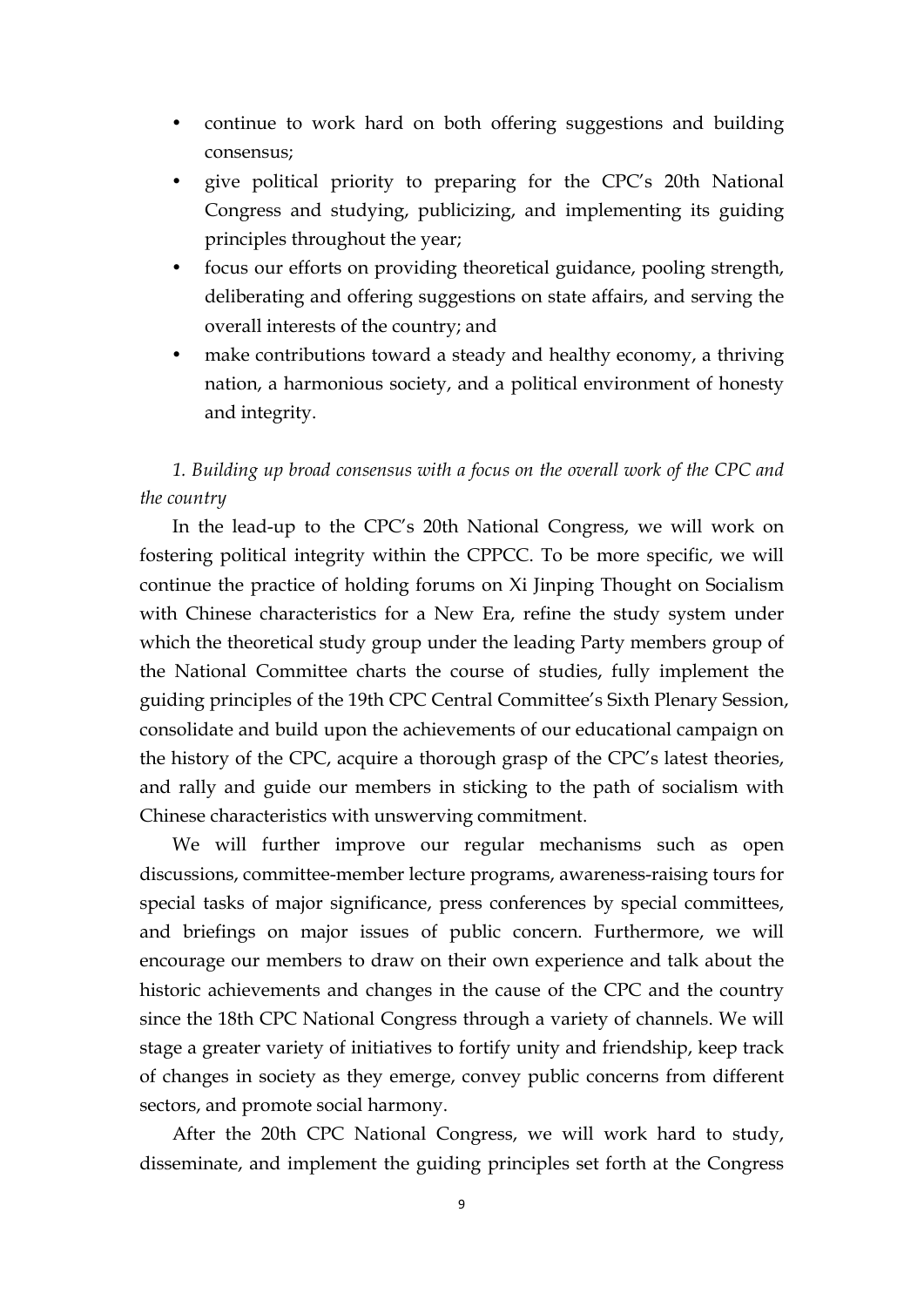- continue to work hard on both offering suggestions and building consensus;
- give political priority to preparing for the CPC's 20th National Congress and studying, publicizing, and implementing its guiding principles throughout the year;
- focus our efforts on providing theoretical guidance, pooling strength, deliberating and offering suggestions on state affairs, and serving the overall interests of the country; and
- make contributions toward a steady and healthy economy, a thriving nation, a harmonious society, and a political environment of honesty and integrity.

# *1. Building up broad consensus with a focus on the overall work of the CPC and the country*

In the lead-up to the CPC's 20th National Congress, we will work on fostering political integrity within the CPPCC. To be more specific, we will continue the practice of holding forums on Xi Jinping Thought on Socialism with Chinese characteristics for a New Era, refine the study system under which the theoretical study group under the leading Party members group of the National Committee charts the course of studies, fully implement the guiding principles of the 19th CPC Central Committee's Sixth Plenary Session, consolidate and build upon the achievements of our educational campaign on the history of the CPC, acquire a thorough grasp of the CPC's latest theories, and rally and guide our members in sticking to the path of socialism with Chinese characteristics with unswerving commitment.

We will further improve our regular mechanisms such as open discussions, committee-member lecture programs, awareness-raising tours for special tasks of major significance, press conferences by special committees, and briefings on major issues of public concern. Furthermore, we will encourage our members to draw on their own experience and talk about the historic achievements and changes in the cause of the CPC and the country since the 18th CPC National Congress through a variety of channels. We will stage a greater variety of initiatives to fortify unity and friendship, keep track of changes in society as they emerge, convey public concerns from different sectors, and promote social harmony.

After the 20th CPC National Congress, we will work hard to study, disseminate, and implement the guiding principles set forth at the Congress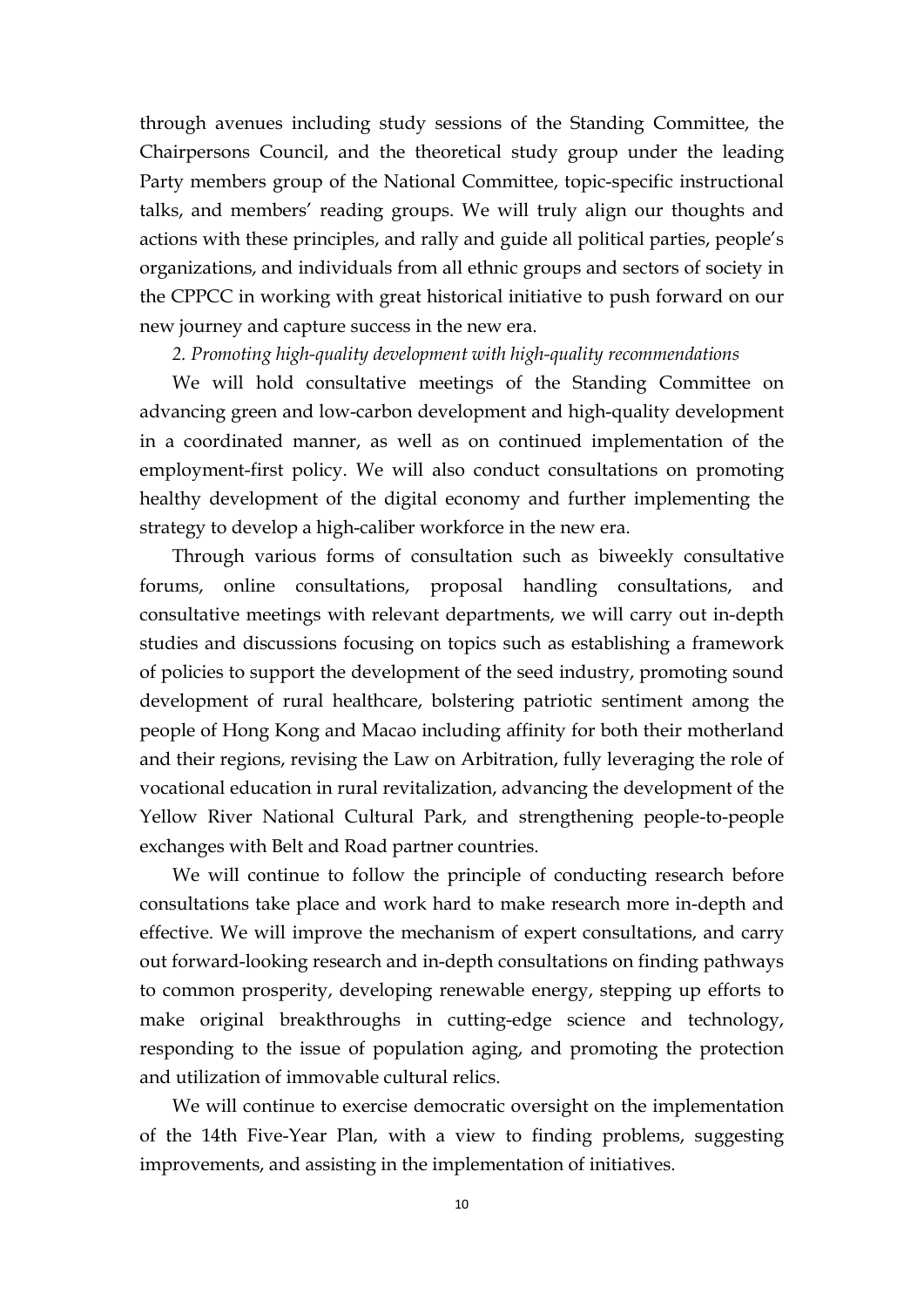through avenues including study sessions of the Standing Committee, the Chairpersons Council, and the theoretical study group under the leading Party members group of the National Committee, topic-specific instructional talks, and members' reading groups. We will truly align our thoughts and actions with these principles, and rally and guide all political parties, people's organizations, and individuals from all ethnic groups and sectors of society in the CPPCC in working with great historical initiative to push forward on our new journey and capture success in the new era.

#### *2. Promoting high-quality development with high-quality recommendations*

We will hold consultative meetings of the Standing Committee on advancing green and low-carbon development and high-quality development in a coordinated manner, as well as on continued implementation of the employment-first policy. We will also conduct consultations on promoting healthy development of the digital economy and further implementing the strategy to develop a high-caliber workforce in the new era.

Through various forms of consultation such as biweekly consultative forums, online consultations, proposal handling consultations, and consultative meetings with relevant departments, we will carry out in-depth studies and discussions focusing on topics such as establishing a framework of policies to support the development of the seed industry, promoting sound development of rural healthcare, bolstering patriotic sentiment among the people of Hong Kong and Macao including affinity for both their motherland and their regions, revising the Law on Arbitration, fully leveraging the role of vocational education in rural revitalization, advancing the development of the Yellow River National Cultural Park, and strengthening people-to-people exchanges with Belt and Road partner countries.

We will continue to follow the principle of conducting research before consultations take place and work hard to make research more in-depth and effective. We will improve the mechanism of expert consultations, and carry out forward-looking research and in-depth consultations on finding pathways to common prosperity, developing renewable energy, stepping up efforts to make original breakthroughs in cutting-edge science and technology, responding to the issue of population aging, and promoting the protection and utilization of immovable cultural relics.

We will continue to exercise democratic oversight on the implementation of the 14th Five-Year Plan, with a view to finding problems, suggesting improvements, and assisting in the implementation of initiatives.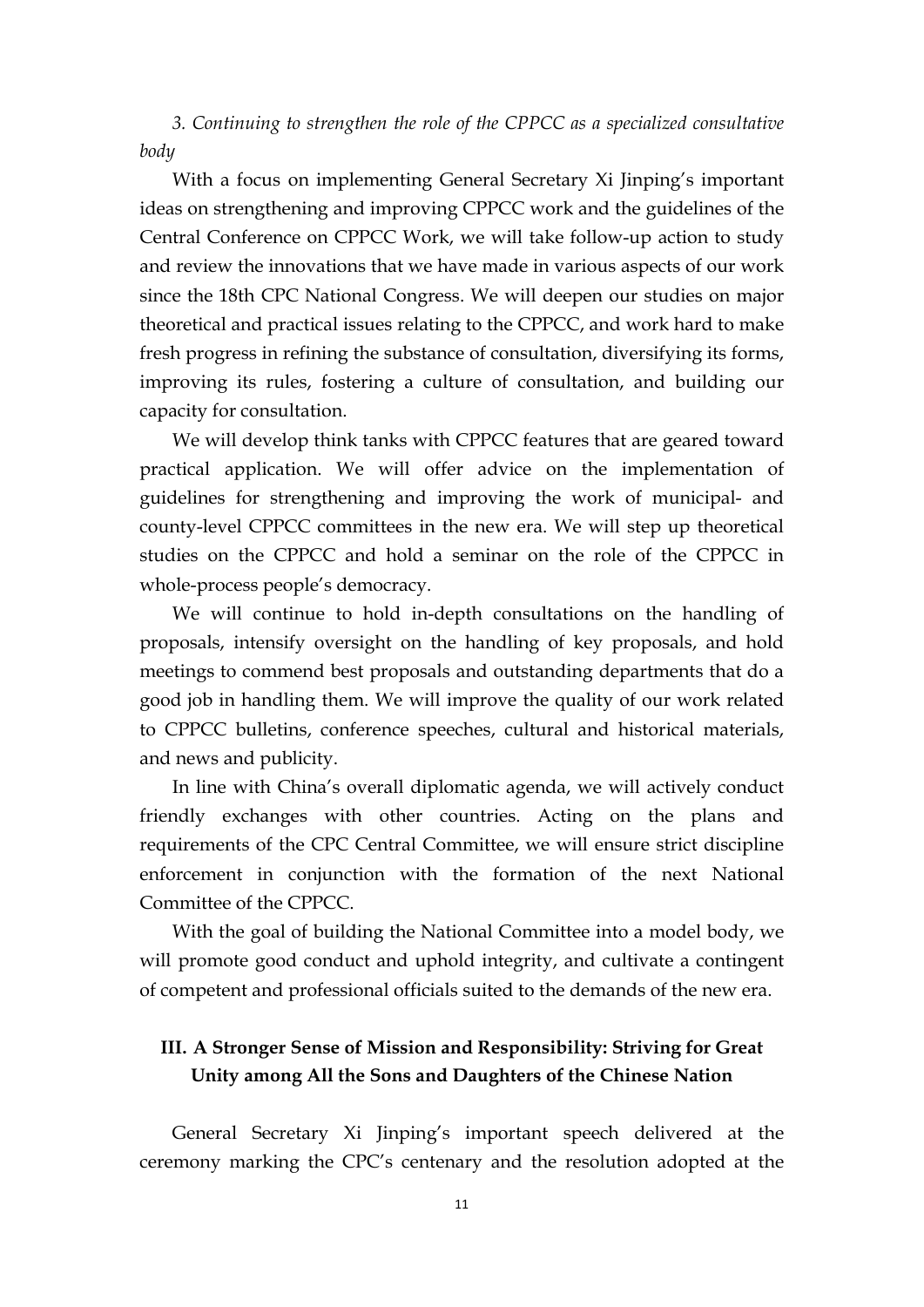*3. Continuing tostrengthen the role of the CPPCC as a specialized consultative body*

With a focus on implementing General Secretary Xi Jinping's important ideas on strengthening and improving CPPCC work and the guidelines of the Central Conference on CPPCC Work, we will take follow-up action to study and review the innovations that we have made in various aspects of our work since the 18th CPC National Congress. We will deepen our studies on major theoretical and practical issues relating to the CPPCC, and work hard to make fresh progress in refining the substance of consultation, diversifying its forms, improving its rules, fostering a culture of consultation, and building our capacity for consultation.

We will develop think tanks with CPPCC features that are geared toward practical application. We will offer advice on the implementation of guidelines for strengthening and improving the work of municipal- and county-level CPPCC committeesin the new era. We will step up theoretical studies on the CPPCC and hold a seminar on the role of the CPPCC in whole-process people's democracy.

We will continue to hold in-depth consultations on the handling of proposals, intensify oversight on the handling of key proposals, and hold meetings to commend best proposals and outstanding departments that do a good job in handling them. We will improve the quality of our work related to CPPCC bulletins, conference speeches, cultural and historical materials, and news and publicity.

In line with China's overall diplomatic agenda, we will actively conduct friendly exchanges with other countries. Acting on the plans and requirements of the CPC Central Committee, we will ensure strict discipline enforcement in conjunction with the formation of the next National Committee of the CPPCC.

With the goal of building the National Committee into a model body, we will promote good conduct and uphold integrity, and cultivate a contingent of competent and professional officials suited to the demands of the new era.

# **III. A Stronger Sense of Mission and Responsibility: Striving for Great Unity among All the Sons and Daughters of the Chinese Nation**

General Secretary Xi Jinping's important speech delivered at the ceremony marking the CPC's centenary and the resolution adopted at the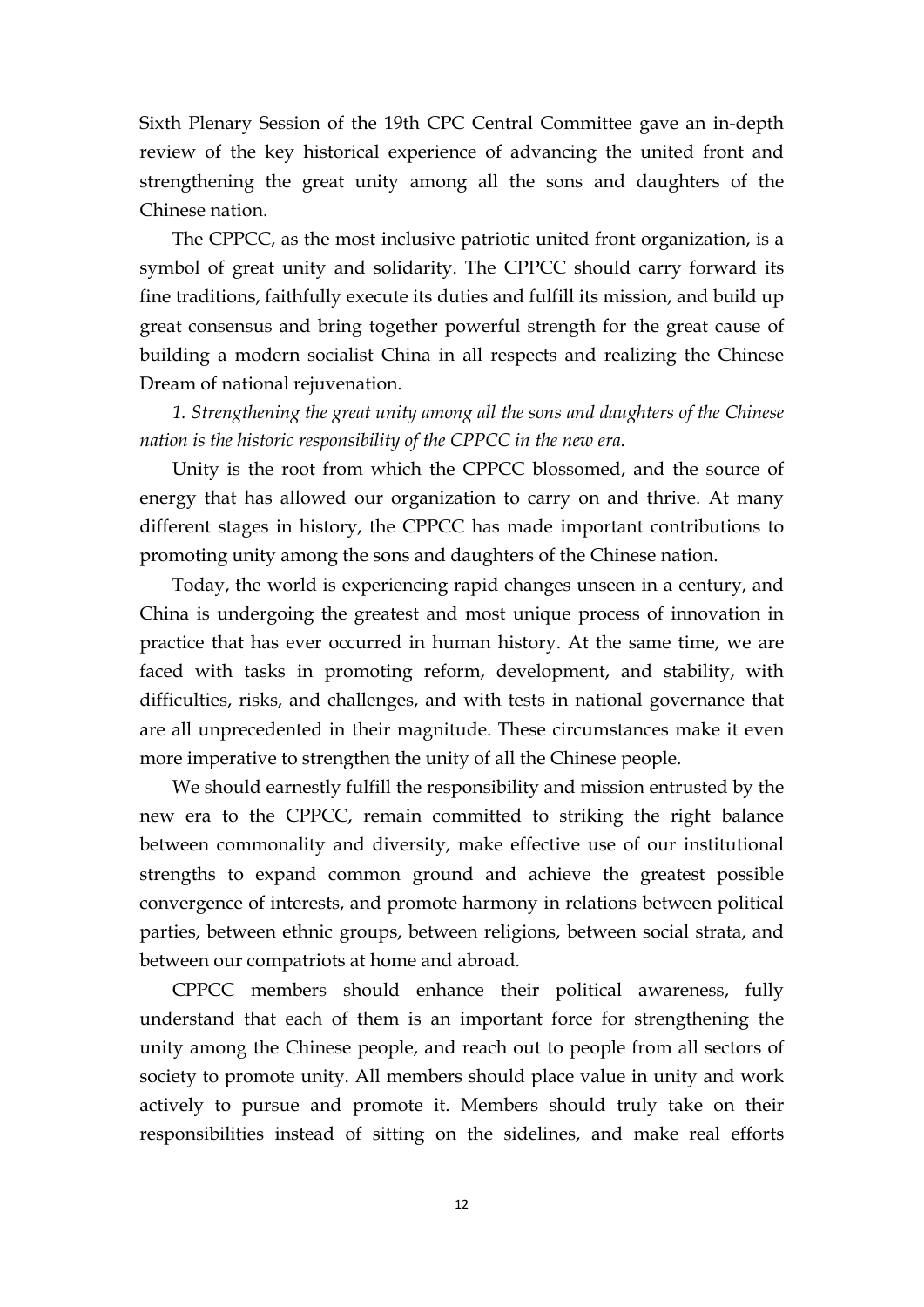Sixth Plenary Session of the 19th CPC Central Committee gave an in-depth review of the key historical experience of advancing the united front and strengthening the great unity among all the sons and daughters of the Chinese nation.

The CPPCC, as the most inclusive patriotic united front organization, is a symbol of great unity and solidarity. The CPPCC should carry forward its fine traditions, faithfully execute its duties and fulfill its mission, and build up great consensus and bring together powerful strength for the great cause of building a modern socialist China in all respects and realizing the Chinese Dream of national rejuvenation.

*1. Strengthening the great unity among allthe sons and daughters of the Chinese nation is the historic responsibility of the CPPCC in the new era.*

Unity is the root from which the CPPCC blossomed, and the source of energy that has allowed our organization to carry on and thrive. At many different stages in history, the CPPCC has made important contributions to promoting unity among the sons and daughters of the Chinese nation.

Today, the world is experiencing rapid changes unseen in a century, and China is undergoing the greatest and most unique process of innovation in practice that has ever occurred in human history. At the same time, we are faced with tasks in promoting reform, development, and stability, with difficulties, risks, and challenges, and with tests in national governance that are all unprecedented in their magnitude. These circumstances make it even more imperative to strengthen the unity of all the Chinese people.

We should earnestly fulfill the responsibility and mission entrusted by the new era to the CPPCC, remain committed to striking the right balance between commonality and diversity, make effective use of our institutional strengths to expand common ground and achieve the greatest possible convergence of interests, and promote harmony in relations between political parties, between ethnic groups, between religions, between social strata, and between our compatriots at home and abroad.

CPPCC members should enhance their political awareness, fully understand that each of them is an important force for strengthening the unity among the Chinese people, and reach out to people from all sectors of society to promote unity. All members should place value in unity and work actively to pursue and promote it. Members should truly take on their responsibilities instead of sitting on the sidelines, and make real efforts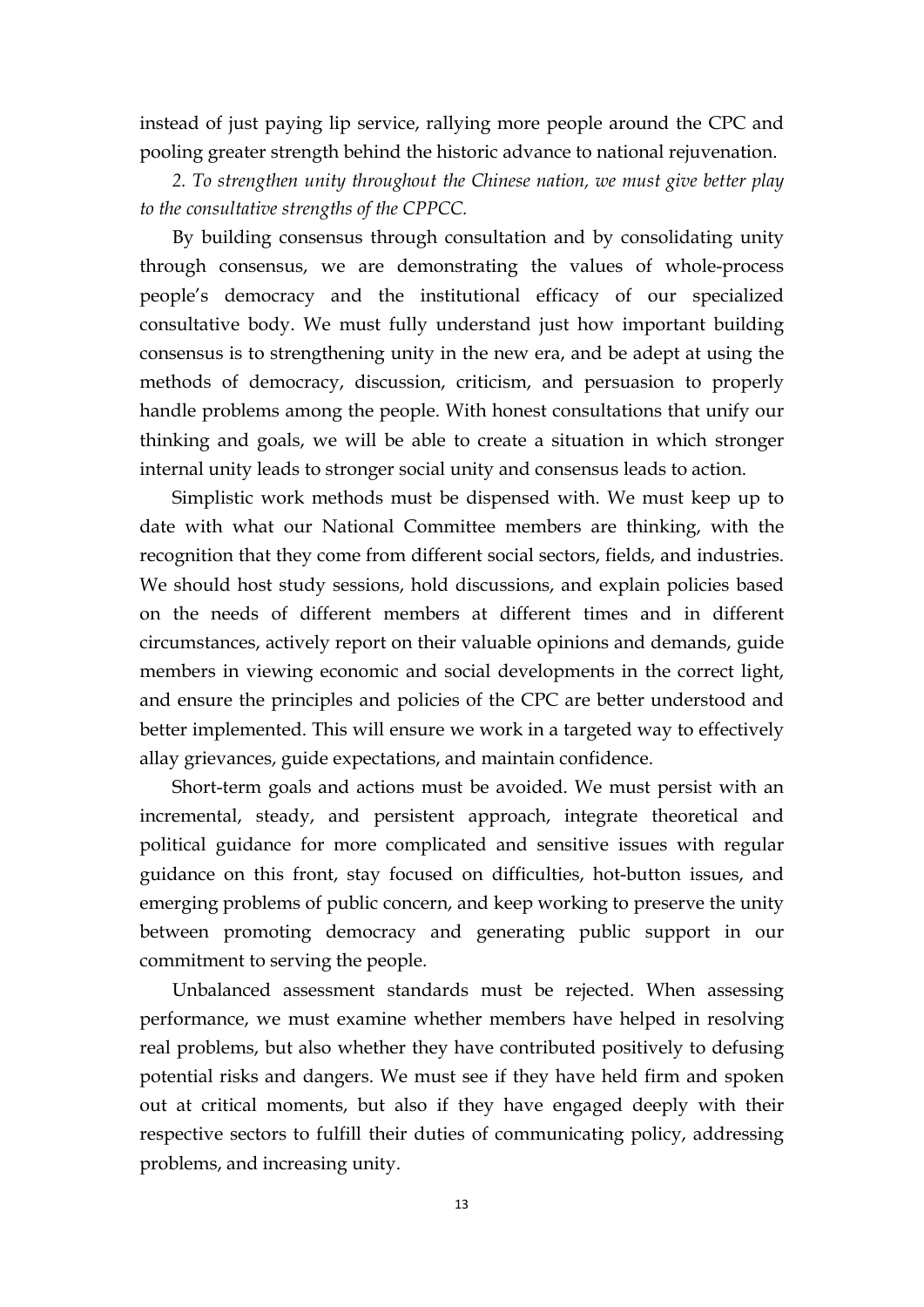instead of just paying lip service, rallying more people around the CPC and pooling greater strength behind the historic advance to national rejuvenation.

*2. To strengthen unity throughout the Chinese nation, we must give better play to the consultative strengths of the CPPCC.*

By building consensus through consultation and by consolidating unity through consensus, we are demonstrating the values of whole-process people's democracy and the institutional efficacy of our specialized consultative body. We must fully understand just how important building consensus is to strengthening unity in the new era, and be adept at using the methods of democracy, discussion, criticism, and persuasion to properly handle problems among the people. With honest consultations that unify our thinking and goals, we will be able to create a situation in which stronger internal unity leads to stronger social unity and consensus leads to action.

Simplistic work methods must be dispensed with. We must keep up to date with what our National Committee members are thinking, with the recognition that they come from different social sectors, fields, and industries. We should host study sessions, hold discussions, and explain policies based on the needs of different members at different times and in different circumstances, actively report on their valuable opinions and demands, guide members in viewing economic and social developments in the correct light, and ensure the principles and policies of the CPC are better understood and better implemented. This will ensure we work in a targeted way to effectively allay grievances, guide expectations, and maintain confidence.

Short-term goals and actions must be avoided. We must persist with an incremental, steady, and persistent approach, integrate theoretical and political guidance for more complicated and sensitive issues with regular guidance on this front, stay focused on difficulties, hot-button issues, and emerging problems of public concern, and keep working to preserve the unity between promoting democracy and generating public support in our commitment to serving the people.

Unbalanced assessment standards must be rejected.When assessing performance, we must examine whether members have helped in resolving real problems, but also whether they have contributed positively to defusing potential risks and dangers. We must see if they have held firm and spoken out at critical moments, but also if they have engaged deeply with their respective sectors to fulfill their duties of communicating policy, addressing problems, and increasing unity.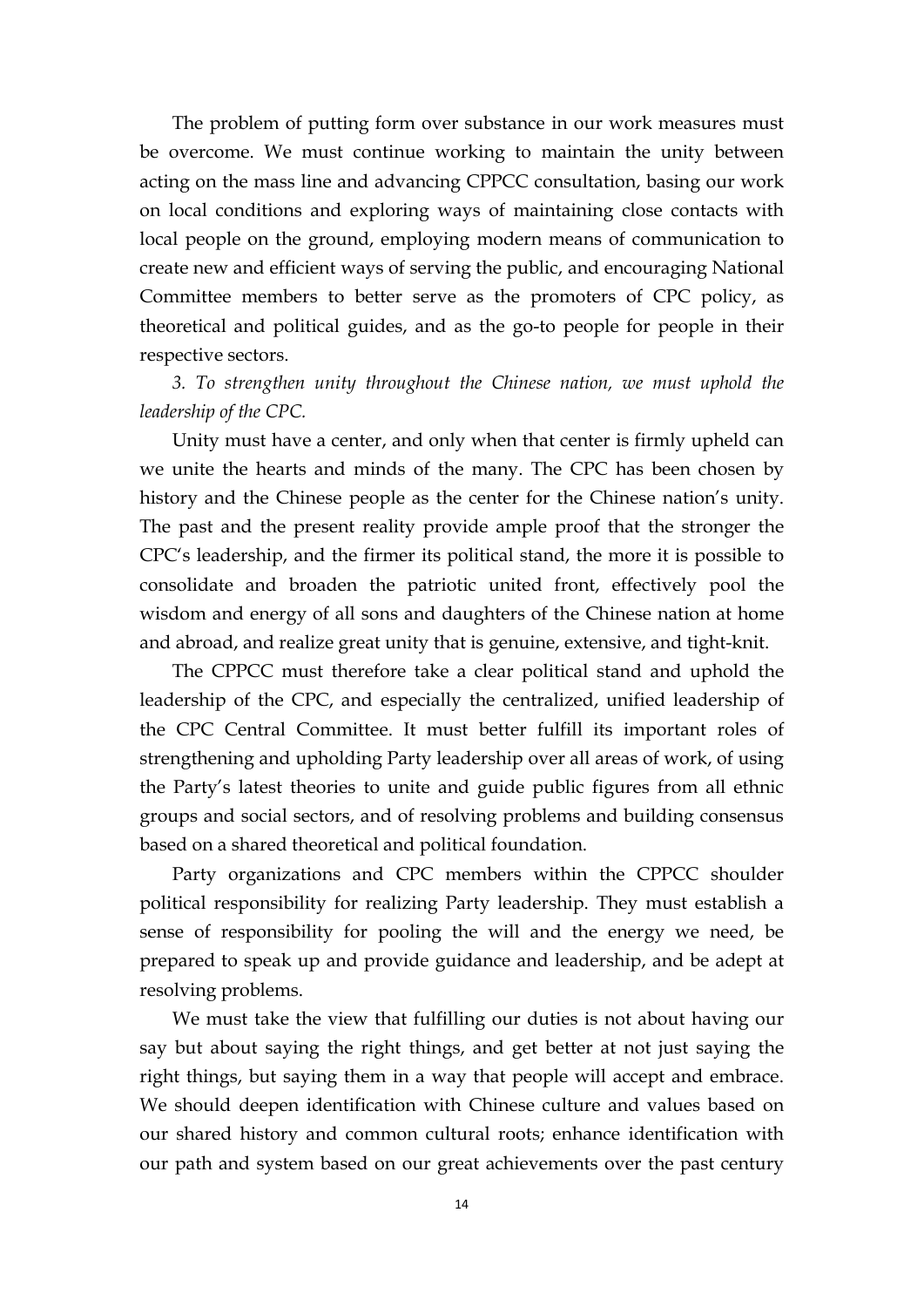The problem of putting form over substance in our work measures must be overcome. We must continue working to maintain the unity between acting on the mass line and advancing CPPCC consultation, basing our work on local conditions and exploring ways of maintaining close contacts with local people on the ground, employing modern means of communication to create new and efficient ways of serving the public, and encouraging National Committee members to better serve as the promoters of CPC policy, as theoretical and political guides, and as the go-to people for people in their respective sectors.

*3. To strengthen unity throughout the Chinese nation, we must uphold the leadership of the CPC.*

Unity must have a center, and only when that center is firmly upheld can we unite the hearts and minds of the many. The CPC has been chosen by history and the Chinese people as the center for the Chinese nation's unity. The past and the present reality provide ample proof that the stronger the CPC's leadership, and the firmer its political stand, the more it is possible to consolidate and broaden the patriotic united front, effectively pool the wisdom and energy of all sons and daughters of the Chinese nation at home and abroad, and realize great unity that is genuine, extensive, and tight-knit.

The CPPCC must therefore take a clear political stand and uphold the leadership of the CPC, and especially the centralized, unified leadership of the CPC Central Committee. It must better fulfill its important roles of strengthening and upholding Party leadership over all areas of work, of using the Party's latest theories to unite and guide public figures from all ethnic groups and social sectors, and of resolving problems and building consensus based on ashared theoretical and political foundation.

Party organizations and CPC members within the CPPCC shoulder political responsibility for realizing Party leadership. They must establish a sense of responsibility for pooling the will and the energy we need, be prepared to speak up and provide guidance and leadership, and be adept at resolving problems.

We must take the view that fulfilling our duties is not about having our say but about saying the right things, and get better at not just saying the right things, but saying them in a way that people will accept and embrace. We should deepen identification with Chinese culture and values based on our shared history and common cultural roots; enhance identification with our path and system based on our great achievements over the past century